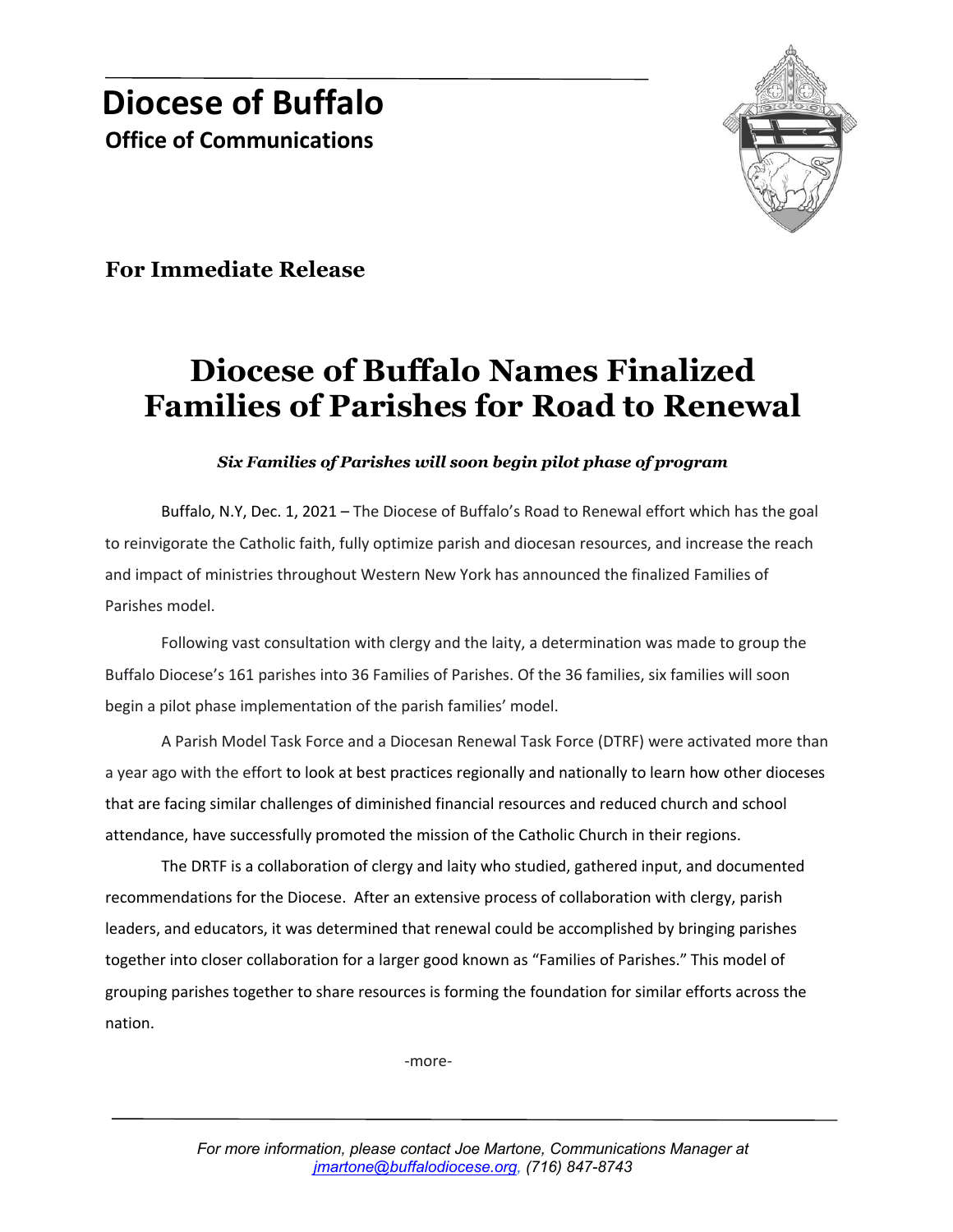

**For Immediate Release**

## **Diocese of Buffalo Names Finalized Families of Parishes for Road to Renewal**

## *Six Families of Parishes will soon begin pilot phase of program*

Buffalo, N.Y, Dec. 1, 2021 – The Diocese of Buffalo's Road to Renewal effort which has the goal to reinvigorate the Catholic faith, fully optimize parish and diocesan resources, and increase the reach and impact of ministries throughout Western New York has announced the finalized Families of Parishes model.

Following vast consultation with clergy and the laity, a determination was made to group the Buffalo Diocese's 161 parishes into 36 Families of Parishes. Of the 36 families, six families will soon begin a pilot phase implementation of the parish families' model.

A Parish Model Task Force and a Diocesan Renewal Task Force (DTRF) were activated more than a year ago with the effort to look at best practices regionally and nationally to learn how other dioceses that are facing similar challenges of diminished financial resources and reduced church and school attendance, have successfully promoted the mission of the Catholic Church in their regions.

The DRTF is a collaboration of clergy and laity who studied, gathered input, and documented recommendations for the Diocese. After an extensive process of collaboration with clergy, parish leaders, and educators, it was determined that renewal could be accomplished by bringing parishes together into closer collaboration for a larger good known as "Families of Parishes." This model of grouping parishes together to share resources is forming the foundation for similar efforts across the nation.

-more-